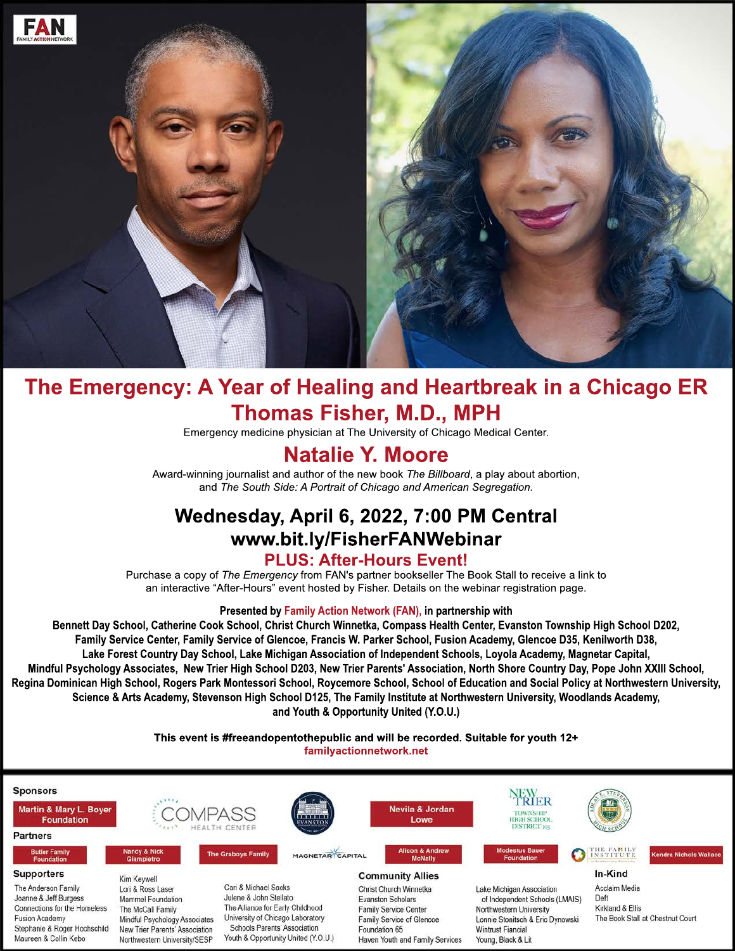

# **The Emergency: A Year of Healing and Heartbreak in a Chicago ER Thomas Fisher, M.D., MPH**

Emergency medicine physician at The University of Chicago Medical Center.

# **Natalie Y. Moore**

Award-winning journalist and author of the new book *The Billboard*, a play about abortion, and *The South Side: A Portrait of Chicago and American Segregation.*

# **Wednesday, April 6, 2022, 7:00 PM Central www.bit.ly/FisherFANWebinar PLUS: After-Hours Event!**

Purchase a copy of *The Emergency* from FAN's partner bookseller The Book Stall to receive a link to an interactive "After-Hours" event hosted by Fisher. Details on the webinar registration page.

#### **Presented by Family Action Network (FAN), in partnership with**

**Bennett Day School, Catherine Cook School, Christ Church Winnetka, Compass Health Center, Evanston Township High School D202, Family Service Center, Family Service of Glencoe, Francis W. Parker School, Fusion Academy, Glencoe D35, Kenilworth D38, Cente Lake Forest Country Day School, Lake Michigan Association of Independent Schools, Loyola Academy, Magnetar Capital, Mindful Psychology Associates, New Trier High School D203, New Trier Parents' Association, North Shore Country Day, Pope John XXIII School, Regina Dominican High School, Rogers Park Montessori School, Roycemore School, School of Education and Social Policy at Northwestern University, Science & Arts Academy, Stevenson High School D125, The Family Institute at Northwestern University, Woodlands Academy, and Youth & Opportunity United (Y.O.U.)**

> **This event is #freeandopentothepublic and will be recorded. Suitable for youth 12+ familyactionnetwork.net**